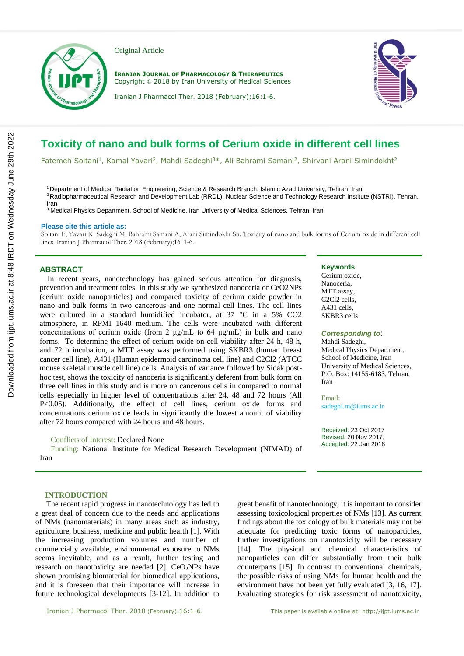

Original Article

**IRANIAN JOURNAL OF PHARMACOLOGY & THERAPEUTICS** Copyright © 2018 by Iran University of Medical Sciences





# **Toxicity of nano and bulk forms of Cerium oxide in different cell lines**

Fatemeh Soltani<sup>1</sup>, Kamal Yavari<sup>2</sup>, Mahdi Sadeghi<sup>3\*</sup>, Ali Bahrami Samani<sup>2</sup>, Shirvani Arani Simindokht<sup>2</sup>

<sup>1</sup> Department of Medical Radiation Engineering, Science & Research Branch, Islamic Azad University, Tehran, Iran <sup>2</sup> Radiopharmaceutical Research and Development Lab (RRDL), Nuclear Science and Technology Research Institute (NSTRI), Tehran, Iran

<sup>3</sup> Medical Physics Department, School of Medicine, Iran University of Medical Sciences, Tehran, Iran

#### **Please cite this article as:**

Soltani F, Yavari K, Sadeghi M, Bahrami Samani A, Arani Simindokht Sh. Toxicity of nano and bulk forms of Cerium oxide in different cell lines. Iranian J Pharmacol Ther. 2018 (February);16: 1-6.

## **ABSTRACT**

 In recent years, nanotechnology has gained serious attention for diagnosis, prevention and treatment roles. In this study we synthesized nanoceria or CeO2NPs (cerium oxide nanoparticles) and compared toxicity of cerium oxide powder in nano and bulk forms in two cancerous and one normal cell lines. The cell lines were cultured in a standard humidified incubator, at 37 °C in a 5% CO2 atmosphere, in RPMI 1640 medium. The cells were incubated with different concentrations of cerium oxide (from 2 μg/mL to 64 μg/mL) in bulk and nano forms. To determine the effect of cerium oxide on cell viability after 24 h, 48 h, and 72 h incubation, a MTT assay was performed using SKBR3 (human breast cancer cell line), A431 (Human epidermoid carcinoma cell line) and C2Cl2 (ATCC mouse skeletal muscle cell line) cells. Analysis of variance followed by Sidak posthoc test, shows the toxicity of nanoceria is significantly deferent from bulk form on three cell lines in this study and is more on cancerous cells in compared to normal cells especially in higher level of concentrations after 24, 48 and 72 hours (All P<0.05). Additionally, the effect of cell lines, cerium oxide forms and concentrations cerium oxide leads in significantly the lowest amount of viability after 72 hours compared with 24 hours and 48 hours.

## Conflicts of Interest: Declared None

Funding: National Institute for Medical Research Development (NIMAD) of Iran

# **Keywords**

Cerium oxide, Nanoceria, MTT assay, C2Cl2 cells, A431 cells, SKBR3 cells

#### *Corresponding to*:

Mahdi Sadeghi, Medical Physics Department, School of Medicine, Iran University of Medical Sciences, P.O. Box: 14155-6183, Tehran, Iran

Email: sadeghi.m@iums.ac.ir

Received: 23 Oct 2017 Revised: 20 Nov 2017, Accepted: 22 Jan 2018

#### **INTRODUCTION**

The recent rapid progress in nanotechnology has led to a great deal of concern due to the needs and applications of NMs (nanomaterials) in many areas such as industry, agriculture, business, medicine and public health [1]. With the increasing production volumes and number of commercially available, environmental exposure to NMs seems inevitable, and as a result, further testing and research on nanotoxicity are needed  $[2]$ . CeO<sub>2</sub>NPs have shown promising biomaterial for biomedical applications, and it is foreseen that their importance will increase in future technological developments [3-12]. In addition to

great benefit of nanotechnology, it is important to consider assessing toxicological properties of NMs [13]. As current findings about the toxicology of bulk materials may not be adequate for predicting toxic forms of nanoparticles, further investigations on nanotoxicity will be necessary [14]. The physical and chemical characteristics of nanoparticles can differ substantially from their bulk counterparts [15]. In contrast to conventional chemicals, the possible risks of using NMs for human health and the environment have not been yet fully evaluated [3, 16, 17]. Evaluating strategies for risk assessment of nanotoxicity,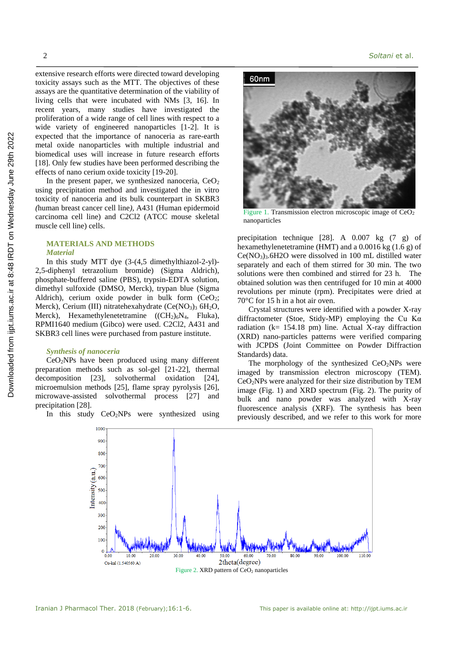extensive research efforts were directed toward developing toxicity assays such as the MTT. The objectives of these assays are the quantitative determination of the viability of living cells that were incubated with NMs [3, 16]. In recent years, many studies have investigated the proliferation of a wide range of cell lines with respect to a wide variety of engineered nanoparticles [1-2]. It is expected that the importance of nanoceria as rare-earth metal oxide nanoparticles with multiple industrial and biomedical uses will increase in future research efforts [18]. Only few studies have been performed describing the effects of nano cerium oxide toxicity [19-20].

In the present paper, we synthesized nanoceria,  $CeO<sub>2</sub>$ using precipitation method and investigated the in vitro toxicity of nanoceria and its bulk counterpart in SKBR3 *(*human breast cancer cell line*),* A431 (Human epidermoid carcinoma cell line) and C2Cl2 (ATCC mouse skeletal muscle cell line) cells.

## **MATERIALS AND METHODS**

## *Material*

In this study MTT dye (3-(4,5 dimethylthiazol-2-yl)- 2,5-diphenyl tetrazolium bromide) (Sigma Aldrich), phosphate-buffered saline (PBS), trypsin-EDTA solution, dimethyl sulfoxide (DMSO, Merck), trypan blue (Sigma Aldrich), cerium oxide powder in bulk form  $(CeO<sub>2</sub>)$ ; Merck), Cerium (III) nitratehexahydrate  $(Ce(NO<sub>3</sub>)<sub>3</sub> 6H<sub>2</sub>O$ , Merck), Hexamethylenetetramine  $((CH<sub>2</sub>)<sub>6</sub>N<sub>4</sub>,$  Fluka), RPMI1640 medium (Gibco) were used. C2Cl2, A431 and SKBR3 cell lines were purchased from pasture institute.

## *Synthesis of nanoceria*

CeO2NPs have been produced using many different preparation methods such as sol-gel [21-22], thermal decomposition [23], solvothermal oxidation [24], microemulsion methods [25], flame spray pyrolysis [26], microwave-assisted solvothermal process [27] and precipitation [28].

In this study  $CeO<sub>2</sub>NPs$  were synthesized using



Figure 1. Transmission electron microscopic image of  $CeO<sub>2</sub>$ nanoparticles

precipitation technique  $[28]$ . A 0.007 kg  $(7 \text{ g})$  of hexamethylenetetramine (HMT) and a 0.0016 kg (1.6 g) of Ce(NO3)3.6H2O were dissolved in 100 mL distilled water separately and each of them stirred for 30 min. The two solutions were then combined and stirred for 23 h. The obtained solution was then centrifuged for 10 min at 4000 revolutions per minute (rpm). Precipitates were dried at 70°C for 15 h in a hot air oven.

Crystal structures were identified with a powder X-ray diffractometer (Stoe, Stidy-MP) employing the Cu Kα radiation (k= 154.18 pm) line. Actual X-ray diffraction (XRD) nano-particles patterns were verified comparing with JCPDS (Joint Committee on Powder Diffraction Standards) data.

The morphology of the synthesized  $CeO<sub>2</sub>NPs$  were imaged by transmission electron microscopy (TEM). CeO2NPs were analyzed for their size distribution by TEM image (Fig. 1) and XRD spectrum (Fig. 2). The purity of bulk and nano powder was analyzed with X-ray fluorescence analysis (XRF). The synthesis has been previously described, and we refer to this work for more

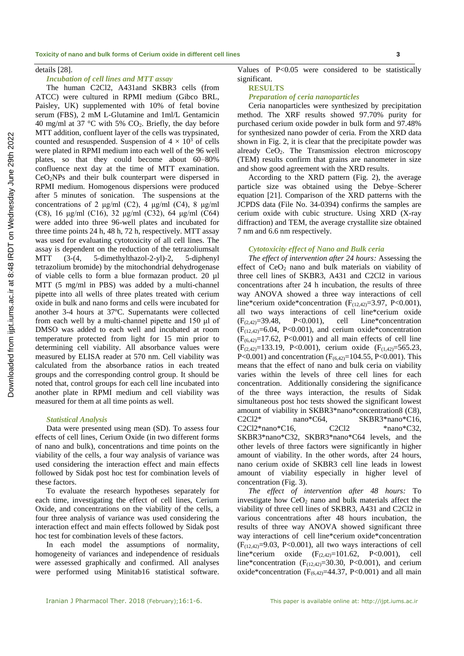details [28].

## *Incubation of cell lines and MTT assay*

The human C2Cl2, A431and SKBR3 cells (from ATCC) were cultured in RPMI medium (Gibco BRL, Paisley, UK) supplemented with 10% of fetal bovine serum (FBS), 2 mM L-Glutamine and 1ml/L Gentamicin 40 mg/ml at 37 °C with 5%  $CO<sub>2</sub>$ . Briefly, the day before MTT addition, confluent layer of the cells was trypsinated, counted and resuspended. Suspension of  $4 \times 10^3$  of cells were plated in RPMI medium into each well of the 96 well plates, so that they could become about 60–80% confluence next day at the time of MTT examination. CeO2NPs and their bulk counterpart were dispersed in RPMI medium. Homogenous dispersions were produced after 5 minutes of sonication. The suspensions at the concentrations of 2 μg/ml (C2), 4 μg/ml (C4), 8 μg/ml (C8), 16 μg/ml (C16), 32 μg/ml (C32), 64 μg/ml (C64) were added into three 96-well plates and incubated for three time points 24 h, 48 h, 72 h, respectively. MTT assay was used for evaluating cytotoxicity of all cell lines. The assay is dependent on the reduction of the tetrazoliumsalt MTT (3-(4, 5-dimethylthazol-2-yl)-2, 5-diphenyl tetrazolium bromide) by the mitochondrial dehydrogenase of viable cells to form a blue formazan product. 20 µl MTT (5 mg/ml in PBS) was added by a multi-channel pipette into all wells of three plates treated with cerium oxide in bulk and nano forms and cells were incubated for another 3-4 hours at 37ºC. Supernatants were collected from each well by a multi-channel pipette and 150 μl of DMSO was added to each well and incubated at room temperature protected from light for 15 min prior to determining cell viability. All absorbance values were measured by ELISA reader at 570 nm. Cell viability was calculated from the absorbance ratios in each treated groups and the corresponding control group. It should be noted that, control groups for each cell line incubated into another plate in RPMI medium and cell viability was measured for them at all time points as well.

## *Statistical Analysis*

Data were presented using mean (SD). To assess four effects of cell lines, Cerium Oxide (in two different forms of nano and bulk), concentrations and time points on the viability of the cells, a four way analysis of variance was used considering the interaction effect and main effects followed by Sidak post hoc test for combination levels of these factors.

To evaluate the research hypotheses separately for each time, investigating the effect of cell lines, Cerium Oxide, and concentrations on the viability of the cells, a four three analysis of variance was used considering the interaction effect and main effects followed by Sidak post hoc test for combination levels of these factors.

In each model the assumptions of normality, homogeneity of variances and independence of residuals were assessed graphically and confirmed. All analyses were performed using Minitab16 statistical software.

Values of P<0.05 were considered to be statistically significant.

#### **RESULTS**

### *Preparation of ceria nanoparticles*

Ceria nanoparticles were synthesized by precipitation method. The XRF results showed 97.70% purity for purchased cerium oxide powder in bulk form and 97.48% for synthesized nano powder of ceria. From the XRD data shown in Fig. 2, it is clear that the precipitate powder was already  $CeO<sub>2</sub>$ . The Transmission electron microscopy (TEM) results confirm that grains are nanometer in size and show good agreement with the XRD results.

According to the XRD pattern (Fig. 2), the average particle size was obtained using the Debye–Scherer equation [21]. Comparison of the XRD patterns with the JCPDS data (File No. 34-0394) confirms the samples are cerium oxide with cubic structure. Using XRD (X-ray diffraction) and TEM, the average crystallite size obtained 7 nm and 6.6 nm respectively.

#### *Cytotoxicity effect of Nano and Bulk ceria*

*The effect of intervention after 24 hours:* Assessing the effect of  $CeO<sub>2</sub>$  nano and bulk materials on viability of three cell lines of SKBR3, A431 and C2Cl2 in various concentrations after 24 h incubation, the results of three way ANOVA showed a three way interactions of cell line\*cerium oxide\*concentration ( $F_{(12,42)}$ =3.97, P<0.001), all two ways interactions of cell line\*cerium oxide  $(F<sub>(2,42)</sub>=39.48, P<0.001),$  cell Line\*concentration  $(F<sub>(12.42)</sub>=6.04, P<0.001)$ , and cerium oxide\*concentration  $(F<sub>(6,42)</sub>=17.62, P<sub>(0.001)</sub>)$  and all main effects of cell line  $(F<sub>(2,42)</sub>=133.19, P<0.001),$  cerium oxide  $(F<sub>(1,42)</sub>=565.23,$ P<0.001) and concentration  $(F_{(6,42)}=104.55, P<0.001)$ . This means that the effect of nano and bulk ceria on viability varies within the levels of three cell lines for each concentration. Additionally considering the significance of the three ways interaction, the results of Sidak simultaneous post hoc tests showed the significant lowest amount of viability in SKBR3\*nano\*concentration8 (C8), C2Cl2\* nano\*C64, SKBR3\*nano\*C16, C2Cl2\*nano\*C16, C2Cl2 \*nano\*C32, SKBR3\*nano\*C32, SKBR3\*nano\*C64 levels, and the other levels of three factors were significantly in higher amount of viability. In the other words, after 24 hours, nano cerium oxide of SKBR3 cell line leads in lowest amount of viability especially in higher level of concentration (Fig. 3).

*The effect of intervention after 48 hours:* To investigate how  $CeO<sub>2</sub>$  nano and bulk materials affect the viability of three cell lines of SKBR3, A431 and C2Cl2 in various concentrations after 48 hours incubation, the results of three way ANOVA showed significant three way interactions of cell line\*cerium oxide\*concentration  $(F<sub>(12.42)</sub>=9.03, P<0.001)$ , all two ways interactions of cell line\*cerium oxide  $(F_{(2,42)}=101.62, P<0.001)$ , cell line\*concentration  $(F<sub>(12,42)</sub>=30.30, P<0.001)$ , and cerium oxide\*concentration ( $F_{(6,42)}$ =44.37, P<0.001) and all main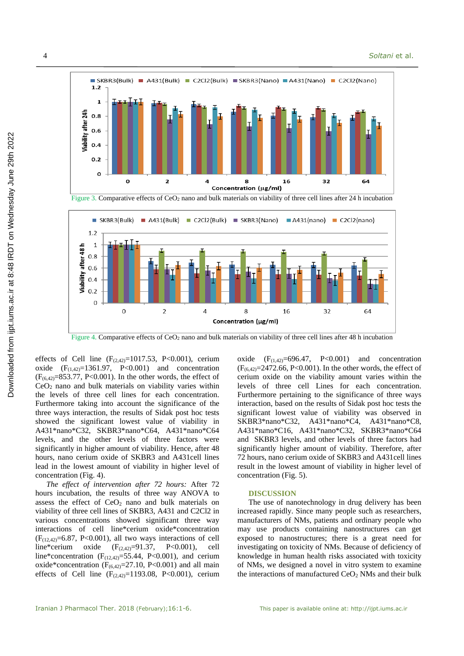



Figure 4. Comparative effects of CeO<sub>2</sub> nano and bulk materials on viability of three cell lines after 48 h incubation

effects of Cell line  $(F_{(2,42)}=1017.53, P<0.001)$ , cerium oxide  $(F_{(1,42)}=1361.97, P<0.001)$  and concentration  $(F_{(6,42)} = 853.77, P < 0.001)$ . In the other words, the effect of CeO<sup>2</sup> nano and bulk materials on viability varies within the levels of three cell lines for each concentration. Furthermore taking into account the significance of the three ways interaction, the results of Sidak post hoc tests showed the significant lowest value of viability in A431\*nano\*C32, SKBR3\*nano\*C64, A431\*nano\*C64 levels, and the other levels of three factors were significantly in higher amount of viability. Hence, after 48 hours, nano cerium oxide of SKBR3 and A431cell lines lead in the lowest amount of viability in higher level of concentration (Fig. 4).

*The effect of intervention after 72 hours:* After 72 hours incubation, the results of three way ANOVA to assess the effect of  $CeO<sub>2</sub>$  nano and bulk materials on viability of three cell lines of SKBR3, A431 and C2Cl2 in various concentrations showed significant three way interactions of cell line\*cerium oxide\*concentration  $(F<sub>(12,42)</sub>=6.87, P<0.001)$ , all two ways interactions of cell line\*cerium oxide  $(F_{(2,42)}=91.37, P<0.001)$ , cell line\*concentration  $(F<sub>(12,42)</sub>=55.44, P<0.001)$ , and cerium oxide\*concentration ( $F_{(6,42)}$ =27.10, P<0.001) and all main effects of Cell line  $(F_{(2,42)}=1193.08, P<0.001)$ , cerium oxide  $(F<sub>(1,42)</sub>=696.47, P<0.001)$  and concentration  $(F_{(6,42)}=2472.66, P<0.001)$ . In the other words, the effect of cerium oxide on the viability amount varies within the levels of three cell Lines for each concentration. Furthermore pertaining to the significance of three ways interaction, based on the results of Sidak post hoc tests the significant lowest value of viability was observed in SKBR3\*nano\*C32, A431\*nano\*C4, A431\*nano\*C8, A431\*nano\*C16, A431\*nano\*C32, SKBR3\*nano\*C64 and SKBR3 levels, and other levels of three factors had significantly higher amount of viability. Therefore, after 72 hours, nano cerium oxide of SKBR3 and A431cell lines result in the lowest amount of viability in higher level of concentration (Fig. 5).

#### **DISCUSSION**

The use of nanotechnology in drug delivery has been increased rapidly. Since many people such as researchers, manufacturers of NMs, patients and ordinary people who may use products containing nanostructures can get exposed to nanostructures; there is a great need for investigating on toxicity of NMs. Because of deficiency of knowledge in human health risks associated with toxicity of NMs, we designed a novel in vitro system to examine the interactions of manufactured  $CeO<sub>2</sub>$  NMs and their bulk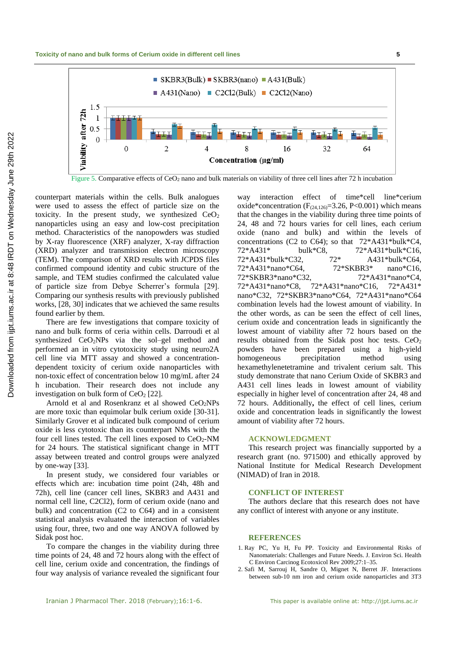

counterpart materials within the cells. Bulk analogues were used to assess the effect of particle size on the toxicity. In the present study, we synthesized  $CeO<sub>2</sub>$ nanoparticles using an easy and low-cost precipitation method. Characteristics of the nanopowders was studied by X-ray fluorescence (XRF) analyzer, X*-*ray diffraction (XRD) analyzer and transmission electron microscopy (TEM). The comparison of XRD results with JCPDS files confirmed compound identity and cubic structure of the sample, and TEM studies confirmed the calculated value of particle size from Debye Scherrer's formula [29]. Comparing our synthesis results with previously published works, [28, 30] indicates that we achieved the same results found earlier by them.

There are few investigations that compare toxicity of nano and bulk forms of ceria within cells. Darroudi et al synthesized CeO<sub>2</sub>NPs via the sol–gel method and performed an in vitro cytotoxicity study using neuro2A cell line via MTT assay and showed a concentrationdependent toxicity of cerium oxide nanoparticles with non-toxic effect of concentration below 10 mg/mL after 24 h incubation. Their research does not include any investigation on bulk form of  $CeO<sub>2</sub>$  [22].

Arnold et al and Rosenkranz et al showed  $CeO<sub>2</sub>NPs$ are more toxic than equimolar bulk cerium oxide [30-31]. Similarly Grover et al indicated bulk compound of cerium oxide is less cytotoxic than its counterpart NMs with the four cell lines tested. The cell lines exposed to  $CeO<sub>2</sub>-NM$ for 24 hours. The statistical significant change in MTT assay between treated and control groups were analyzed by one-way [33].

In present study, we considered four variables or effects which are: incubation time point (24h, 48h and 72h), cell line (cancer cell lines, SKBR3 and A431 and normal cell line, C2Cl2), form of cerium oxide (nano and bulk) and concentration (C2 to C64) and in a consistent statistical analysis evaluated the interaction of variables using four, three, two and one way ANOVA followed by Sidak post hoc.

To compare the changes in the viability during three time points of 24, 48 and 72 hours along with the effect of cell line, cerium oxide and concentration, the findings of four way analysis of variance revealed the significant four

way interaction effect of time\*cell line\*cerium oxide\*concentration ( $F<sub>(24,126)</sub>=3.26$ , P<0.001) which means that the changes in the viability during three time points of 24, 48 and 72 hours varies for cell lines, each cerium oxide (nano and bulk) and within the levels of concentrations (C2 to C64); so that 72\*A431\*bulk\*C4, 72\*A431\* bulk\*C8, 72\*A431\*bulk\*C16, 72\*A431\*bulk\*C32, 72\* A431\*bulk\*C64, 72\*A431\*nano\*C64, 72\*SKBR3\* nano\*C16, 72\*SKBR3\*nano\*C32, 72\*A431\*nano\*C4, 72\*A431\*nano\*C8, 72\*A431\*nano\*C16, 72\*A431\* nano\*C32, 72\*SKBR3\*nano\*C64, 72\*A431\*nano\*C64 combination levels had the lowest amount of viability. In the other words, as can be seen the effect of cell lines, cerium oxide and concentration leads in significantly the lowest amount of viability after 72 hours based on the results obtained from the Sidak post hoc tests. CeO<sub>2</sub> powders have been prepared using a high-yield homogeneous precipitation method using hexamethylenetetramine and trivalent cerium salt. This study demonstrate that nano Cerium Oxide of SKBR3 and A431 cell lines leads in lowest amount of viability especially in higher level of concentration after 24, 48 and 72 hours. Additionally**,** the effect of cell lines, cerium oxide and concentration leads in significantly the lowest amount of viability after 72 hours.

#### **ACKNOWLEDGMENT**

This research project was financially supported by a research grant (no. 971500) and ethically approved by National Institute for Medical Research Development (NIMAD) of Iran in 2018.

## **CONFLICT OF INTEREST**

The authors declare that this research does not have any conflict of interest with anyone or any institute.

#### **REFERENCES**

- 1. Ray PC, Yu H, Fu PP. Toxicity and Environmental Risks of Nanomaterials: Challenges and Future Needs. J. Environ Sci. Health C Environ Carcinog Ecotoxicol Rev 2009;27:1–35.
- 2. Safi M, Sarrouj H, Sandre O, Mignet N, Berret JF. Interactions between sub-10 nm iron and cerium oxide nanoparticles and 3T3